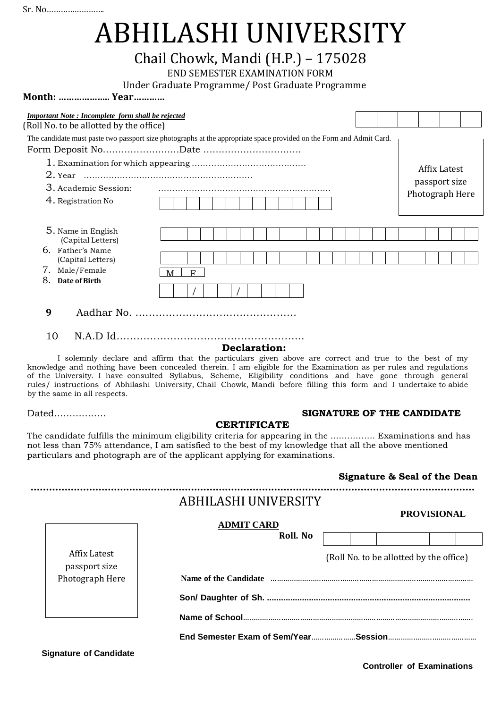# ABHILASHI UNIVERSITY

# Chail Chowk, Mandi (H.P.) – 175028

END SEMESTER EXAMINATION FORM

Under Graduate Programme/ Post Graduate Programme

**Month: ……………….. Year…………**

| <b>Important Note: Incomplete form shall be rejected</b> |                                                                                                                                                                                                                                             |  |  |  |  |  |  |  |  |
|----------------------------------------------------------|---------------------------------------------------------------------------------------------------------------------------------------------------------------------------------------------------------------------------------------------|--|--|--|--|--|--|--|--|
|                                                          | (Roll No. to be allotted by the office)<br>The candidate must paste two passport size photographs at the appropriate space provided on the Form and Admit Card.<br>Affix Latest<br>passport size<br>3. Academic Session:<br>Photograph Here |  |  |  |  |  |  |  |  |
|                                                          |                                                                                                                                                                                                                                             |  |  |  |  |  |  |  |  |
|                                                          |                                                                                                                                                                                                                                             |  |  |  |  |  |  |  |  |
|                                                          |                                                                                                                                                                                                                                             |  |  |  |  |  |  |  |  |
|                                                          |                                                                                                                                                                                                                                             |  |  |  |  |  |  |  |  |
|                                                          |                                                                                                                                                                                                                                             |  |  |  |  |  |  |  |  |
| 4. Registration No                                       |                                                                                                                                                                                                                                             |  |  |  |  |  |  |  |  |
|                                                          |                                                                                                                                                                                                                                             |  |  |  |  |  |  |  |  |
| 5. Name in English<br>(Capital Letters)                  |                                                                                                                                                                                                                                             |  |  |  |  |  |  |  |  |
| 6. Father's Name                                         |                                                                                                                                                                                                                                             |  |  |  |  |  |  |  |  |
| (Capital Letters)                                        |                                                                                                                                                                                                                                             |  |  |  |  |  |  |  |  |
| 7. Male/Female                                           | F<br>M                                                                                                                                                                                                                                      |  |  |  |  |  |  |  |  |
| 8.<br>Date of Birth                                      |                                                                                                                                                                                                                                             |  |  |  |  |  |  |  |  |
|                                                          |                                                                                                                                                                                                                                             |  |  |  |  |  |  |  |  |
| 9                                                        |                                                                                                                                                                                                                                             |  |  |  |  |  |  |  |  |
|                                                          |                                                                                                                                                                                                                                             |  |  |  |  |  |  |  |  |
| 10                                                       |                                                                                                                                                                                                                                             |  |  |  |  |  |  |  |  |

#### **Declaration:**

I solemnly declare and affirm that the particulars given above are correct and true to the best of my knowledge and nothing have been concealed therein. I am eligible for the Examination as per rules and regulations of the University. I have consulted Syllabus, Scheme, Eligibility conditions and have gone through general rules/ instructions of Abhilashi University, Chail Chowk, Mandi before filling this form and I undertake to abide by the same in all respects.

## Dated…………….. **SIGNATURE OF THE CANDIDATE**

## **CERTIFICATE**

The candidate fulfills the minimum eligibility criteria for appearing in the ……………. Examinations and has not less than 75% attendance, I am satisfied to the best of my knowledge that all the above mentioned particulars and photograph are of the applicant applying for examinations.

## **Signature & Seal of the Dean**

|                               | ABHILASHI UNIVERSITY<br><b>ADMIT CARD</b>                                                                                                                                                                                      |                                         |  | <b>PROVISIONAL</b> |  |  |  |  |
|-------------------------------|--------------------------------------------------------------------------------------------------------------------------------------------------------------------------------------------------------------------------------|-----------------------------------------|--|--------------------|--|--|--|--|
|                               | Roll. No.                                                                                                                                                                                                                      |                                         |  |                    |  |  |  |  |
| Affix Latest<br>passport size |                                                                                                                                                                                                                                | (Roll No. to be allotted by the office) |  |                    |  |  |  |  |
| Photograph Here               | Name of the Candidate municipality and the Candidate of the Candidate municipality and the Candidate of the Candidate of the Candidate of the Candidate of the Candidate of the Candidate of the Candidate of the Candidate of |                                         |  |                    |  |  |  |  |
|                               |                                                                                                                                                                                                                                |                                         |  |                    |  |  |  |  |
|                               |                                                                                                                                                                                                                                |                                         |  |                    |  |  |  |  |
|                               |                                                                                                                                                                                                                                |                                         |  |                    |  |  |  |  |
| <b>Signature of Candidate</b> |                                                                                                                                                                                                                                |                                         |  |                    |  |  |  |  |

**Controller of Examinations**